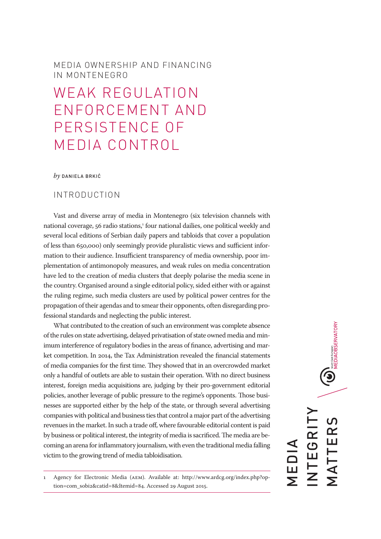# MEDIA OWNERSHIP AND FINANCING IN MONTENEGRO

# WEAK REGULATION ENFORCEMENT AND PERSISTENCE OF MEDIA CONTROL

#### *by* DANIELA BRKIĆ

## INTRODUCTION

Vast and diverse array of media in Montenegro (six television channels with national coverage, 56 radio stations,<sup>1</sup> four national dailies, one political weekly and several local editions of Serbian daily papers and tabloids that cover a population of less than 650,000) only seemingly provide pluralistic views and sufficient information to their audience. Insufficient transparency of media ownership, poor implementation of antimonopoly measures, and weak rules on media concentration have led to the creation of media clusters that deeply polarise the media scene in the country. Organised around a single editorial policy, sided either with or against the ruling regime, such media clusters are used by political power centres for the propagation of their agendas and to smear their opponents, often disregarding professional standards and neglecting the public interest.

What contributed to the creation of such an environment was complete absence of the rules on state advertising, delayed privatisation of state owned media and minimum interference of regulatory bodies in the areas of finance, advertising and market competition. In 2014, the Tax Administration revealed the financial statements of media companies for the first time. They showed that in an overcrowded market only a handful of outlets are able to sustain their operation. With no direct business interest, foreign media acquisitions are, judging by their pro-government editorial policies, another leverage of public pressure to the regime's opponents. Those businesses are supported either by the help of the state, or through several advertising companies with political and business ties that control a major part of the advertising revenues in the market. In such a trade off, where favourable editorial content is paid by business or political interest, the integrity of media is sacrificed. The media are becoming an arena for inflammatory journalism, with even the traditional media falling victim to the growing trend of media tabloidisation.

 $\bigcirc$  MEDIAOBSERVATORY INTEGRITY  $\overline{C}$ MATTERS NTEGRI TTER MEDIA —<br>Г<br>Г

<sup>1</sup> Agency for Electronic Media (AEM). Available at: http://www.ardcg.org/index.php?option=com\_sobi2&catid=8&Itemid=84. Accessed 29 August 2015.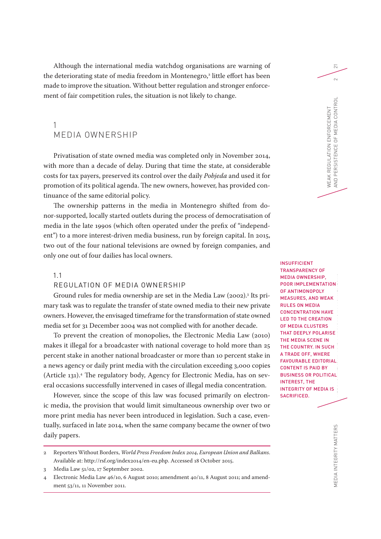Although the international media watchdog organisations are warning of the deteriorating state of media freedom in Montenegro,<sup>2</sup> little effort has been made to improve the situation. Without better regulation and stronger enforcement of fair competition rules, the situation is not likely to change.

## 1 MEDIA OWNERSHIP

Privatisation of state owned media was completed only in November 2014, with more than a decade of delay. During that time the state, at considerable costs for tax payers, preserved its control over the daily *Pobjeda* and used it for promotion of its political agenda. The new owners, however, has provided continuance of the same editorial policy.

The ownership patterns in the media in Montenegro shifted from donor-supported, locally started outlets during the process of democratisation of media in the late 1990s (which often operated under the prefix of "independent") to a more interest-driven media business, run by foreign capital. In 2015, two out of the four national televisions are owned by foreign companies, and only one out of four dailies has local owners.

#### 1.1

#### REGULATION OF MEDIA OWNERSHIP

Ground rules for media ownership are set in the Media Law (2002).3 Its primary task was to regulate the transfer of state owned media to their new private owners. However, the envisaged timeframe for the transformation of state owned media set for 31 December 2004 was not complied with for another decade.

To prevent the creation of monopolies, the Electronic Media Law (2010) makes it illegal for a broadcaster with national coverage to hold more than 25 percent stake in another national broadcaster or more than 10 percent stake in a news agency or daily print media with the circulation exceeding 3,000 copies (Article 131).4 The regulatory body, Agency for Electronic Media, has on several occasions successfully intervened in cases of illegal media concentration.

However, since the scope of this law was focused primarily on electronic media, the provision that would limit simultaneous ownership over two or more print media has never been introduced in legislation. Such a case, eventually, surfaced in late 2014, when the same company became the owner of two daily papers.

MEDIA INTEGRITY MATTERS MEDIA OWNERSHIP AND FINANCING IN MONTENEGROUP AND FINANCING IN MONEY OF THE MONTENEGROUP OF THE MONEY OF THE MONEY OF THE MONEY OF THE MONEY OF THE MONEY OF THE MONEY OF THE MONEY OF THE MONEY OF TH INSUFFICIENT TRANSPARENCY OF MEDIA OWNERSHIP, POOR IMPLEMENTATION OF ANTIMONOPOLY MEASURES, AND WEAK RULES ON MEDIA CONCENTRATION HAVE LED TO THE CREATION OF MEDIA CLUSTERS THAT DEEPLY POLARISE THE MEDIA SCENE IN THE COUNTRY. IN SUCH A TRADE OFF, WHERE FAVOURABLE EDITORIAL CONTENT IS PAID BY BUSINESS OR POLITICAL INTEREST, THE INTEGRITY OF MEDIA IS SACRIFICED.

WEAK REGULATION ENFORCEMENT

AND PERSISTENCE OF MEDIA CONTROL 2

AND PERSISTENCE OF MEDIA CONTROL WEAK REGULATION ENFORCEMENT

 $\overline{\sim}$ 

 $\sim$ 

<sup>2</sup> Reporters Without Borders, *World Press Freedom Index 2014, European Union and Balkans*. Available at: http://rsf.org/index2014/en-eu.php. Accessed 18 October 2015.

<sup>3</sup> Media Law 51/02, 17 September 2002.

<sup>4</sup> Electronic Media Law 46/10, 6 August 2010; amendment 40/11, 8 August 2011; and amendment 53/11, 11 November 2011.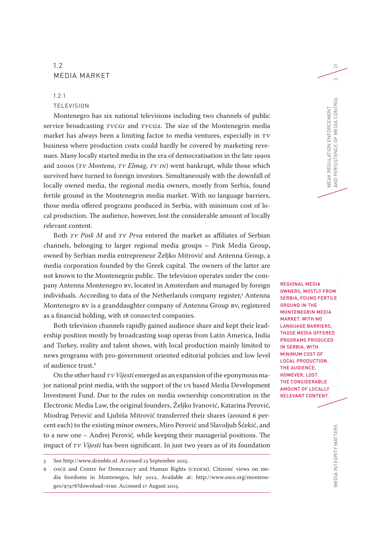## 1.2 MEDIA MARKET

## 1.2.1 **TELEVISION**

Montenegro has six national televisions including two channels of public service broadcasting *TVCG1* and *TVCG2*. The size of the Montenegrin media market has always been a limiting factor to media ventures, especially in TV business where production costs could hardly be covered by marketing revenues. Many locally started media in the era of democratisation in the late 1990s and 2000s (*TV Montena*, *TV Elmag*, *TV IN*) went bankrupt, while those which survived have turned to foreign investors. Simultaneously with the downfall of locally owned media, the regional media owners, mostly from Serbia, found fertile ground in the Montenegrin media market. With no language barriers, those media offered programs produced in Serbia, with minimum cost of local production. The audience, however, lost the considerable amount of locally relevant content.

Both *TV Pink M* and *TV Prva* entered the market as affiliates of Serbian channels, belonging to larger regional media groups – Pink Media Group, owned by Serbian media entrepreneur Željko Mitrović and Antenna Group, a media corporation founded by the Greek capital. The owners of the latter are not known to the Montenegrin public. The television operates under the company Antenna Montenegro BV, located in Amsterdam and managed by foreign individuals. According to data of the Netherlands company register,5 Antenna Montenegro BV is a granddaughter company of Antenna Group BV, registered as a financial holding, with 18 connected companies.

Both television channels rapidly gained audience share and kept their leadership position mostly by broadcasting soap operas from Latin America, India and Turkey, reality and talent shows, with local production mainly limited to news programs with pro-government oriented editorial policies and low level of audience trust.<sup>6</sup>

On the other hand *TV Vijesti* emerged as an expansion of the eponymous major national print media, with the support of the US based Media Development Investment Fund. Due to the rules on media ownership concentration in the Electronic Media Law, the original founders, Željko Ivanović, Katarina Perović*,*  Miodrag Perović and Ljubiša Mitrović transferred their shares (around 6 percent each) to the existing minor owners, Miro Perović and Slavoljub Šćekić, and to a new one – Andrej Perović*,* while keeping their managerial positions. The impact of *TV Vijesti* has been significant. In just two years as of its foundation

MEDIA INTEGRITY MATTERS  $\blacksquare$ REGIONAL MEDIA OWNERS, MOSTLY FROM SERBIA, FOUND FERTILE GROUND IN THE MONTENEGRIN MEDIA MARKET. WITH NO LANGUAGE BARRIERS, THOSE MEDIA OFFERED PROGRAMS PRODUCED IN SERBIA, WITH MINIMUM COST OF LOCAL PRODUCTION. THE AUDIENCE, HOWEVER, LOST THE CONSIDERABLE AMOUNT OF LOCALLY RELEVANT CONTENT.

WEAK REGULATION ENFORCEMENT

*NEAK REGULATION ENFORCEMENT* 

AND PERSISTENCE OF MEDIA CONTROL 3

AND PERSISTENCE

OF MEDIA CONTROL

21

 $\infty$ 

<sup>5</sup> See http://www.drimble.nl. Accessed 13 September 2015.

<sup>6</sup> OSCE and Centre for Democracy and Human Rights (CEDEM), Citizens' views on media freedoms in Montenegro, July 2012, Available at: http://www.osce.org/montenegro/97478?download=true. Accessed 17 August 2015.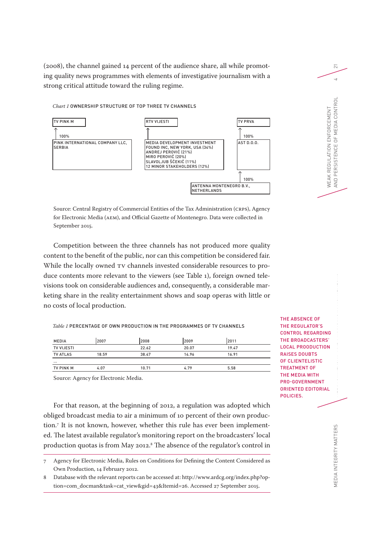(2008), the channel gained 14 percent of the audience share, all while promoting quality news programmes with elements of investigative journalism with a strong critical attitude toward the ruling regime.

*Chart 1* OWNERSHIP STRUCTURE OF TOP THREE TV CHANNELS

#### TV PINK M RTV VIJESTI TV PRVA ↑ ↑ ↑ 100% 100% PINK INTERNATIONAL COMPANY LLC, **SERBIA** MEDIA DEVELOPMENT INVESTMENT FOUND INC, NEW YORK, USA (34%) ANDREJ PEROVIĆ (21%) MIRO PEROVIĆ (20%) SLAVOLJUB ŠĆEKIĆ (11%) 12 MINOR STAKEHOLDERS (12%)  $A$ ST D.O.O. ↑ 100% ANTENNA MONTENEGRO B.V., NETHERLANDS

Source: Central Registry of Commercial Entities of the Tax Administration (CRPS), Agency for Electronic Media (AEM), and Official Gazette of Montenegro. Data were collected in September 2015.

Competition between the three channels has not produced more quality content to the benefit of the public, nor can this competition be considered fair. While the locally owned TV channels invested considerable resources to produce contents more relevant to the viewers (see Table 1), foreign owned televisions took on considerable audiences and, consequently, a considerable marketing share in the reality entertainment shows and soap operas with little or no costs of local production.

*Table 1* PERCENTAGE OF OWN PRODUCTION IN THE PROGRAMMES OF TV CHANNELS

| <b>MEDIA</b>      | 2007  | 2008  | 2009  | 2011  |  |
|-------------------|-------|-------|-------|-------|--|
| <b>TV VIJESTI</b> |       | 22.62 | 20.07 | 19.47 |  |
| <b>TV ATLAS</b>   | 18.59 | 38.47 | 14.96 | 16.91 |  |
| $\cdots$          |       |       |       |       |  |
| <b>TV PINK M</b>  | 4.07  | 10.71 | 4.79  | 5.58  |  |

Source: Agency for Electronic Media.

For that reason, at the beginning of 2012, a regulation was adopted which obliged broadcast media to air a minimum of 10 percent of their own production.7 It is not known, however, whether this rule has ever been implemented. The latest available regulator's monitoring report on the broadcasters' local production quotas is from May 2012.8 The absence of the regulator's control in

7 Agency for Electronic Media, Rules on Conditions for Defining the Content Considered as Own Production, 14 February 2012.

8 Database with the relevant reports can be accessed at: http://www.ardcg.org/index.php?option=com\_docman&task=cat\_view&gid=43&Itemid=26. Accessed 27 September 2015.

THE ABSENCE OF THE REGULATOR'S CONTROL REGARDING THE BROADCASTERS' LOCAL PROODUCTION RAISES DOUBTS OF CLIENTELISTIC TREATMENT OF THE MEDIA WITH PRO-GOVERNMENT ORIENTED EDITORIAL POLICIES.

WEAK REGULATION ENFORCEMENT

AND PERSISTENCE OF MEDIA CONTROL 4

AND PERSISTENCE OF MEDIA CONTROL WEAK REGULATION ENFORCEMENT

 $\overline{\sim}$ 

 $\overline{4}$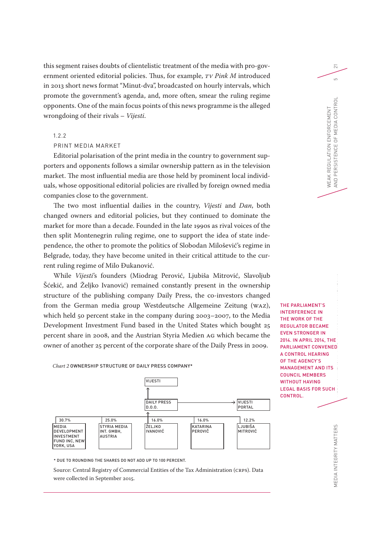this segment raises doubts of clientelistic treatment of the media with pro-government oriented editorial policies. Thus, for example, *TV Pink M* introduced in 2013 short news format "Minut-dva", broadcasted on hourly intervals, which promote the government's agenda, and, more often, smear the ruling regime opponents. One of the main focus points of this news programme is the alleged wrongdoing of their rivals – *Vijesti*.

## 1.2.2

## PRINT MEDIA MARKET

Editorial polarisation of the print media in the country to government supporters and opponents follows a similar ownership pattern as in the television market. The most influential media are those held by prominent local individuals, whose oppositional editorial policies are rivalled by foreign owned media companies close to the government.

The two most influential dailies in the country, *Vijesti* and *Dan*, both changed owners and editorial policies, but they continued to dominate the market for more than a decade. Founded in the late 1990s as rival voices of the then split Montenegrin ruling regime, one to support the idea of state independence, the other to promote the politics of Slobodan Milošević's regime in Belgrade, today, they have become united in their critical attitude to the current ruling regime of Milo Đukanović.

While *Vijesti*'s founders (Miodrag Perović, Ljubiša Mitrović, Slavoljub Šćekić, and Željko Ivanović) remained constantly present in the ownership structure of the publishing company Daily Press, the co-investors changed from the German media group Westdeutsche Allgemeine Zeitung (WAZ), which held 50 percent stake in the company during 2003–2007, to the Media Development Investment Fund based in the United States which bought 25 percent share in 2008, and the Austrian Styria Medien AG which became the owner of another 25 percent of the corporate share of the Daily Press in 2009.

VIJESTI ↑ DAILY PRESS D.O.O. VIJESTI PORTAL ↑ 30.7% 25.0% 16.0% 16.0% 12.2% **MEDIA** DEVELOPMENT INVESTMENT FUND INC, NEW YORK, USA STYRIA MEDIA INT. GMBH, AUSTRIA **ŽELJKO** LLLSKO<br>IVANOVIĆ **KATARINA** PEROVIČ L IIIRIŠA MITROVIĆ

MEDIA INTEGRITY MATTERS  $\blacksquare$ THE PARLIAMENT'S INTERFERENCE IN THE WORK OF THE REGULATOR BECAME EVEN STRONGER IN 2014. IN APRIL 2014, THE PARLIAMENT CONVENED A CONTROL HEARING OF THE AGENCY'S MANAGEMENT AND ITS COUNCIL MEMBERS WITHOUT HAVING LEGAL BASIS FOR SUCH CONTROL.

WEAK REGULATION ENFORCEMENT

WEAK REGULATION ENFORCEMENT

AND PERSISTENCE OF MEDIA CONTROL 5

AND PERSISTENCE

OF MEDIA CONTROL

 $\overline{\sim}$ 

 $\overline{5}$ 

\* DUE TO ROUNDING THE SHARES DO NOT ADD UP TO 100 PERCENT.

*Chart 2* OWNERSHIP STRUCTURE OF DAILY PRESS COMPANY\*

Source: Central Registry of Commercial Entities of the Tax Administration (CRPS). Data were collected in September 2015.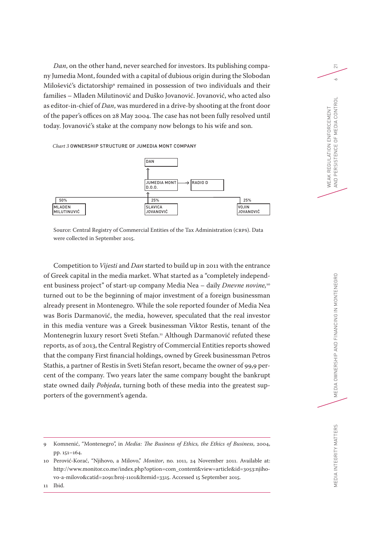*Dan*, on the other hand, never searched for investors. Its publishing company Jumedia Mont, founded with a capital of dubious origin during the Slobodan Milošević's dictatorship<sup>,</sup> remained in possession of two individuals and their families – Mladen Milutinović and Duško Jovanović. Jovanović, who acted also as editor-in-chief of *Dan*, was murdered in a drive-by shooting at the front door of the paper's offices on 28 May 2004. The case has not been fully resolved until today. Jovanović's stake at the company now belongs to his wife and son.

*Chart 3* OWNERSHIP STRUCTURE OF JUMEDIA MONT COMPANY



Source: Central Registry of Commercial Entities of the Tax Administration (CRPS). Data were collected in September 2015.

Competition to *Vijesti* and *Dan* started to build up in 2011 with the entrance of Greek capital in the media market. What started as a "completely independent business project" of start-up company Media Nea – daily *Dnevne novine,*<sup>10</sup> turned out to be the beginning of major investment of a foreign businessman already present in Montenegro. While the sole reported founder of Media Nea was Boris Darmanović, the media, however, speculated that the real investor in this media venture was a Greek businessman Viktor Restis, tenant of the Montenegrin luxury resort Sveti Stefan.<sup>11</sup> Although Darmanović refuted these reports, as of 2013, the Central Registry of Commercial Entities reports showed that the company First financial holdings, owned by Greek businessman Petros Stathis, a partner of Restis in Sveti Stefan resort, became the owner of 99,9 percent of the company. Two years later the same company bought the bankrupt state owned daily *Pobjeda*, turning both of these media into the greatest supporters of the government's agenda.

WEAK REGULATION ENFORCEMENT

AND PERSISTENCE OF MEDIA CONTROL 6

AND PERSISTENCE OF MEDIA CONTROL WEAK REGULATION ENFORCEMENT

 $\overline{\sim}$ 

 $\sim$ 

<sup>9</sup> Komnenić, "Montenegro", in *Media: The Business of Ethics, the Ethics of Business*, 2004, pp. 151–164.

<sup>10</sup> Perović-Korać, "Njihovo, a Milovo," *Monitor*, no. 1011, 24 November 2011. Available at: http://www.monitor.co.me/index.php?option=com\_content&view=article&id=3053:njihovo-a-milovo&catid=2091:broj-1101&Itemid=3315. Accessed 15 September 2015.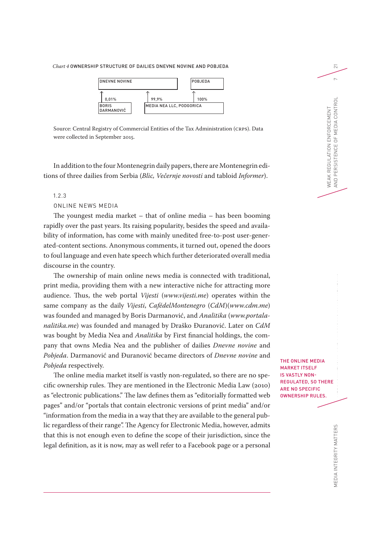*Chart 4* OWNERSHIP STRUCTURE OF DAILIES DNEVNE NOVINE AND POBJEDA



Source: Central Registry of Commercial Entities of the Tax Administration (CRPS). Data were collected in September 2015.

In addition to the four Montenegrin daily papers, there are Montenegrin editions of three dailies from Serbia (*Blic, Večernje novosti* and tabloid *Informer*).

#### 1.2.3

#### ONLINE NEWS MEDIA

The youngest media market – that of online media – has been booming rapidly over the past years. Its raising popularity, besides the speed and availability of information, has come with mainly unedited free-to-post user-generated-content sections. Anonymous comments, it turned out, opened the doors to foul language and even hate speech which further deteriorated overall media discourse in the country.

The ownership of main online news media is connected with traditional, print media, providing them with a new interactive niche for attracting more audience. Thus, the web portal *Vijesti* (*www.vijesti.me*) operates within the same company as the daily *Vijesti*, *CafédelMontenegro* (*CdM*)(*www.cdm.me*) was founded and managed by Boris Darmanović, and *Analitika* (*www.portalanalitika.me*) was founded and managed by Draško Đuranović. Later on *CdM* was bought by Media Nea and *Analitika* by First financial holdings, the company that owns Media Nea and the publisher of dailies *Dnevne novine* and *Pobjeda*. Darmanović and Đuranović became directors of *Dnevne novine* and *Pobjeda* respectively.

The online media market itself is vastly non-regulated, so there are no specific ownership rules. They are mentioned in the Electronic Media Law (2010) as "electronic publications." The law defines them as "editorially formatted web pages" and/or "portals that contain electronic versions of print media" and/or "information from the media in a way that they are available to the general public regardless of their range". The Agency for Electronic Media, however, admits that this is not enough even to define the scope of their jurisdiction, since the legal definition, as it is now, may as well refer to a Facebook page or a personal

THE ONLINE MEDIA MARKET ITSELF IS VASTLY NON-REGULATED, SO THERE ARE NO SPECIFIC OWNERSHIP RULES.

WEAK REGULATION ENFORCEMENT

AND PERSISTENCE OF MEDIA CONTROL 7

AND PERSISTENCE OF MEDIA CONTROL WEAK REGULATION ENFORCEMENT

 $\overline{\sim}$ 

 $\sim$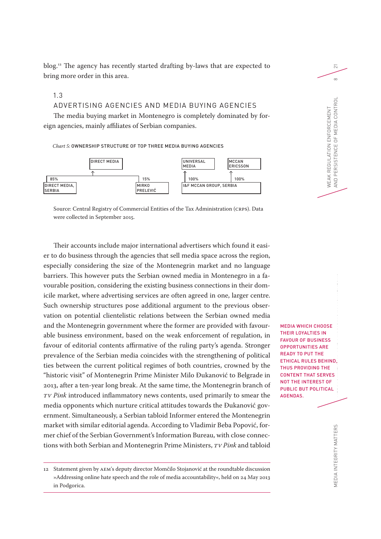blog. 12 The agency has recently started drafting by-laws that are expected to bring more order in this area.

## 1.3

### ADVERTISING AGENCIES AND MEDIA BUYING AGENCIES

The media buying market in Montenegro is completely dominated by foreign agencies, mainly affiliates of Serbian companies.

#### *Chart 5:* OWNERSHIP STRUCTURE OF TOP THREE MEDIA BUYING AGENCIES



Source: Central Registry of Commercial Entities of the Tax Administration (CRPS). Data were collected in September 2015.

Their accounts include major international advertisers which found it easier to do business through the agencies that sell media space across the region, especially considering the size of the Montenegrin market and no language barriers. This however puts the Serbian owned media in Montenegro in a favourable position, considering the existing business connections in their domicile market, where advertising services are often agreed in one, larger centre. Such ownership structures pose additional argument to the previous observation on potential clientelistic relations between the Serbian owned media and the Montenegrin government where the former are provided with favourable business environment, based on the weak enforcement of regulation, in favour of editorial contents affirmative of the ruling party's agenda. Stronger prevalence of the Serbian media coincides with the strengthening of political ties between the current political regimes of both countries, crowned by the "historic visit" of Montenegrin Prime Minister Milo Đukanović to Belgrade in 2013, after a ten-year long break. At the same time, the Montenegrin branch of *TV Pink* introduced inflammatory news contents, used primarily to smear the media opponents which nurture critical attitudes towards the Đukanović government. Simultaneously, a Serbian tabloid Informer entered the Montenegrin market with similar editorial agenda. According to Vladimir Beba Popović, former chief of the Serbian Government's Information Bureau, with close connections with both Serbian and Montenegrin Prime Ministers, *TV Pink* and tabloid

MEDIA WHICH CHOOSE THEIR LOYALTIES IN FAVOUR OF BUSINESS OPPORTUNITIES ARE READY TO PUT THE ETHICAL RULES BEHIND, THUS PROVIDING THE CONTENT THAT SERVES NOT THE INTEREST OF PUBLIC BUT POLITICAL AGENDAS.

WEAK REGULATION ENFORCEMENT

AND PERSISTENCE OF MEDIA CONTROL 8

AND PERSISTENCE OF MEDIA CONTROL WEAK REGULATION ENFORCEMENT

 $\overline{\sim}$ 

 $\infty$ 

MEDIA INTEGRITY MATTERS MEDIA OWNERS MEDIA INTEGRITY MATTERS

<sup>12</sup> Statement given by AEM's deputy director Momčilo Stojanović at the roundtable discussion »Addressing online hate speech and the role of media accountability«, held on 24 May 2013 in Podgorica.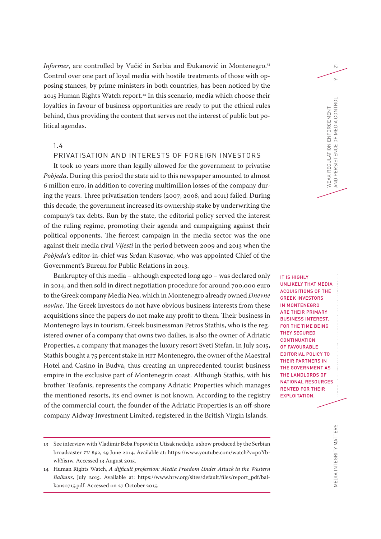*Informer*, are controlled by Vučić in Serbia and Đukanović in Montenegro. 13 Control over one part of loyal media with hostile treatments of those with opposing stances, by prime ministers in both countries, has been noticed by the 2015 Human Rights Watch report.14 In this scenario, media which choose their loyalties in favour of business opportunities are ready to put the ethical rules behind, thus providing the content that serves not the interest of public but political agendas.

## 1.4

## PRIVATISATION AND INTERESTS OF FOREIGN INVESTORS

It took 10 years more than legally allowed for the government to privatise *Pobjeda*. During this period the state aid to this newspaper amounted to almost 6 million euro, in addition to covering multimillion losses of the company during the years. Three privatisation tenders (2007, 2008, and 2011) failed. During this decade, the government increased its ownership stake by underwriting the company's tax debts. Run by the state, the editorial policy served the interest of the ruling regime, promoting their agenda and campaigning against their political opponents. The fiercest campaign in the media sector was the one against their media rival *Vijesti* in the period between 2009 and 2013 when the *Pobjeda*'s editor-in-chief was Srđan Kusovac, who was appointed Chief of the Government's Bureau for Public Relations in 2013.

Bankruptcy of this media – although expected long ago – was declared only in 2014, and then sold in direct negotiation procedure for around 700,000 euro to the Greek company Media Nea, which in Montenegro already owned *Dnevne novine*. The Greek investors do not have obvious business interests from these acquisitions since the papers do not make any profit to them. Their business in Montenegro lays in tourism. Greek businessman Petros Stathis, who is the registered owner of a company that owns two dailies, is also the owner of Adriatic Properties, a company that manages the luxury resort Sveti Stefan. In July 2015, Stathis bought a 75 percent stake in HIT Montenegro, the owner of the Maestral Hotel and Casino in Budva, thus creating an unprecedented tourist business empire in the exclusive part of Montenegrin coast. Although Stathis, with his brother Teofanis, represents the company Adriatic Properties which manages the mentioned resorts, its end owner is not known. According to the registry of the commercial court, the founder of the Adriatic Properties is an off-shore company Aidway Investment Limited, registered in the British Virgin Islands.

IT IS HIGHLY UNLIKELY THAT MEDIA ACQUISITIONS OF THE GREEK INVESTORS IN MONTENEGRO ARE THEIR PRIMARY BUSINESS INTEREST. FOR THE TIME BEING THEY SECURED **CONTINUATION** OF FAVOURABLE EDITORIAL POLICY TO THEIR PARTNERS IN THE GOVERNMENT AS THE LANDLORDS OF NATIONAL RESOURCES RENTED FOR THEIR EXPLOITATION.

WEAK REGULATION ENFORCEMENT

WEAK REGULATION ENFORCEMENT<br>AND PERSISTENCE OF MEDIA CONTROL

AND PERSISTENCE OF MEDIA CONTROL 9

 $\overline{\sim}$ 

 $\circ$ 

<sup>13</sup> See interview with Vladimir Beba Popović in Utisak nedelje, a show produced by the Serbian broadcaster *TV B92*, 29 June 2014. Available at: https://www.youtube.com/watch?v=p0YbwhYis1w. Accessed 13 August 2015.

<sup>14</sup> Human Rights Watch, *A difficult profession: Media Freedom Under Attack in the Western Balkans*, July 2015. Available at: https://www.hrw.org/sites/default/files/report\_pdf/balkans0715.pdf. Accessed on 27 October 2015.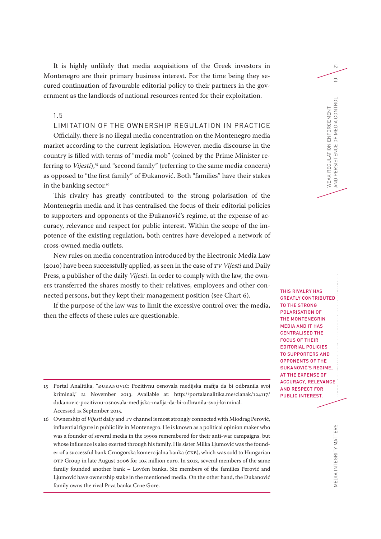It is highly unlikely that media acquisitions of the Greek investors in Montenegro are their primary business interest. For the time being they secured continuation of favourable editorial policy to their partners in the government as the landlords of national resources rented for their exploitation.

## 1.5

## LIMITATION OF THE OWNERSHIP REGULATION IN PRACTICE

Officially, there is no illegal media concentration on the Montenegro media market according to the current legislation. However, media discourse in the country is filled with terms of "media mob" (coined by the Prime Minister referring to *Vijesti*),<sup>15</sup> and "second family" (referring to the same media concern) as opposed to "the first family" of Đukanović. Both "families" have their stakes in the banking sector.<sup>16</sup>

This rivalry has greatly contributed to the strong polarisation of the Montenegrin media and it has centralised the focus of their editorial policies to supporters and opponents of the Đukanović's regime, at the expense of accuracy, relevance and respect for public interest. Within the scope of the impotence of the existing regulation, both centres have developed a network of cross-owned media outlets.

New rules on media concentration introduced by the Electronic Media Law (2010) have been successfully applied, as seen in the case of *TV Vijesti* and Daily Press, a publisher of the daily *Vijesti*. In order to comply with the law, the owners transferred the shares mostly to their relatives, employees and other connected persons, but they kept their management position (see Chart 6).

If the purpose of the law was to limit the excessive control over the media, then the effects of these rules are questionable.

15 Portal Analitika, "ĐUKANOVIĆ: Pozitivnu osnovala medijska mafija da bi odbranila svoj kriminal," 21 November 2013. Available at: http://portalanalitika.me/clanak/124117/ dukanovic-pozitivnu-osnovala-medijska-mafija-da-bi-odbranila-svoj-kriminal. Accessed 15 September 2015.

16 Ownership of *Vijesti* daily and TV channel is most strongly connected with Miodrag Perović, influential figure in public life in Montenegro. He is known as a political opinion maker who was a founder of several media in the 1990s remembered for their anti-war campaigns, but whose influence is also exerted through his family. His sister Milka Ljumović was the founder of a successful bank Crnogorska komercijalna banka (CKB), which was sold to Hungarian OTP Group in late August 2006 for 105 million euro. In 2013, several members of the same family founded another bank – Lovćen banka. Six members of the families Perović and Ljumović have ownership stake in the mentioned media. On the other hand, the Đukanović family owns the rival Prva banka Crne Gore.

THIS RIVAL RY HAS GREATLY CONTRIBUTED TO THE STRONG POLARISATION OF THE MONTENEGRIN MEDIA AND IT HAS CENTRALISED THE FOCUS OF THEIR EDITORIAL POLICIES TO SUPPORTERS AND OPPONENTS OF THE ĐUKANOVIĆ'S REGIME, AT THE EXPENSE OF ACCURACY, RELEVANCE AND RESPECT FOR PUBLIC INTEREST.

WEAK REGULATION ENFORCEMENT

AND PERSISTENCE OF MEDIA CONTROL 10

AND PERSISTENCE OF MEDIA CONTROL *NEAK REGULATION ENFORCEMENT* 

 $\overline{\sim}$ 

 $\supseteq$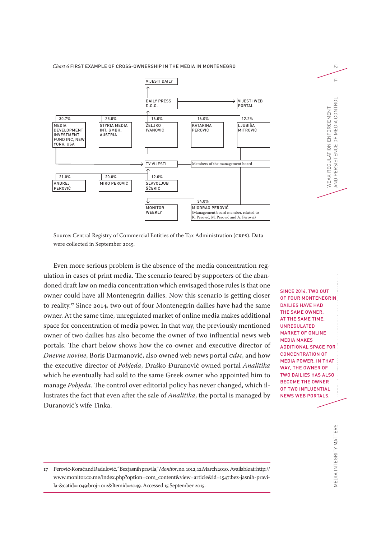#### *Chart 6* FIRST EXAMPLE OF CROSS-OWNERSHIP IN THE MEDIA IN MONTENEGRO



Source: Central Registry of Commercial Entities of the Tax Administration (CRPS). Data were collected in September 2015.

Even more serious problem is the absence of the media concentration regulation in cases of print media. The scenario feared by supporters of the abandoned draft law on media concentration which envisaged those rules is that one owner could have all Montenegrin dailies. Now this scenario is getting closer to reality.17 Since 2014, two out of four Montenegrin dailies have had the same owner. At the same time, unregulated market of online media makes additional space for concentration of media power. In that way, the previously mentioned owner of two dailies has also become the owner of two influential news web portals. The chart below shows how the co-owner and executive director of *Dnevne novine*, Boris Darmanović, also owned web news portal *CdM*, and how the executive director of *Pobjeda*, Draško Đuranović owned portal *Analitika* which he eventually had sold to the same Greek owner who appointed him to manage *Pobjeda*. The control over editorial policy has never changed, which illustrates the fact that even after the sale of *Analitika*, the portal is managed by Đuranović's wife Tinka.

MEDIA INTEGRITY MATTERS  $\blacksquare$ SINCE 2014, TWO OUT OF FOUR MONTENEGRIN DAILIES HAVE HAD THE SAME OWNER. AT THE SAME TIME, UNREGULATED MARKET OF ONLINE MEDIA MAKES ADDITIONAL SPACE FOR CONCENTRATION OF MEDIA POWER. IN THAT WAY, THE OWNER OF TWO DAILIES HAS ALSO BECOME THE OWNER OF TWO INFLUENTIAL NEWS WEB PORTALS.

MEDIA INTEGRITY MATTERS

 $\overline{\sim}$  $\equiv$ AND PERSISTENCE OF MEDIA CONTROL 11 AND PERSISTENCE OF MEDIA CONTROL WEAK REGULATION ENFORCEMENT WEAK REGULATION ENFORCEMENT

<sup>17</sup> Perović-Korać and Radulović, "Bez jasnih pravila," *Monitor*, no. 1012, 12 March 2010. Available at: http:// www.monitor.co.me/index.php?option=com\_content&view=article&id=1547:bez-jasnih-pravila-&catid=1049:broj-1012&Itemid=2049. Accessed 15 September 2015.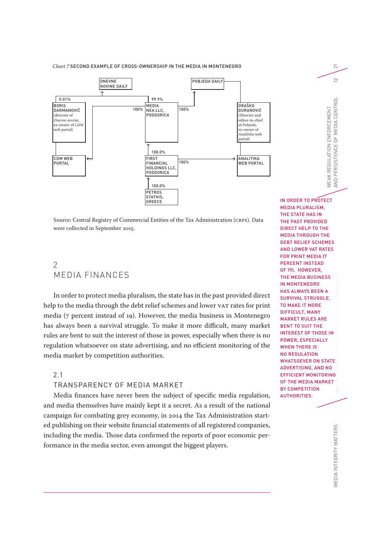#### *Chart 7* SECOND EXAMPLE OF CROSS-OWNERSHIP IN THE MEDIA IN MONTENEGRO



Source: Central Registry of Commercial Entities of the Tax Administration (CRPS). Data were collected in September 2015.

# $\mathcal{P}$ MEDIA FINANCES

In order to protect media pluralism, the state has in the past provided direct help to the media through the debt relief schemes and lower VAT rates for print media (7 percent instead of 19). However, the media business in Montenegro has always been a survival struggle. To make it more difficult, many market rules are bent to suit the interest of those in power, especially when there is no regulation whatsoever on state advertising, and no efficient monitoring of the media market by competition authorities.

## 2.1

### TRANSPARENCY OF MEDIA MARKET

Media finances have never been the subject of specific media regulation, and media themselves have mainly kept it a secret. As a result of the national campaign for combating grey economy, in 2014 the Tax Administration started publishing on their website financial statements of all registered companies, including the media. Those data confirmed the reports of poor economic performance in the media sector, even amongst the biggest players.

MEDIA INTEGRITY MATTERS  $\blacksquare$ IN ORDER TO PROTECT MEDIA PLURALISM, THE STATE HAS IN THE PAST PROVIDED DIRECT HELP TO THE MEDIA THROUGH THE DEBT RELIEF SCHEMES AND LOWER VAT RATES FOR PRINT MEDIA (7 PERCENT INSTEAD OF 19). HOWEVER, THE MEDIA BUSINESS IN MONTENEGRO HAS ALWAYS BEEN A SURVIVAL STRUGGLE. TO MAKE IT MORE DIFFICULT, MANY MARKET RULES ARE BENT TO SUIT THE INTEREST OF THOSE IN POWER, ESPECIALLY WHEN THERE IS NO REGULATION WHATSOEVER ON STATE ADVERTISING, AND NO EFFICIENT MONITORING OF THE MEDIA MARKET BY COMPETITION AUTHORITIES.

WEAK REGULATION ENFORCEMENT

AND PERSISTENCE OF MEDIA CONTROL 12

AND PERSISTENCE OF MEDIA CONTROL VEAK REGULATION ENFORCEMENT

 $\overline{\sim}$ 

 $\supseteq$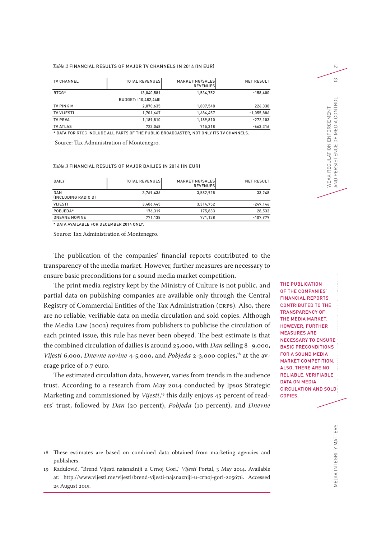#### *Table 2* FINANCIAL RESULTS OF MAJOR TV CHANNELS IN 2014 (IN EUR)

| <b>TV CHANNEL</b>                                                                      | <b>TOTAL REVENUES</b> | MARKETING/SALES<br><b>REVENUESI</b> | <b>NET RESULT</b> |
|----------------------------------------------------------------------------------------|-----------------------|-------------------------------------|-------------------|
| RTCG*                                                                                  | 13,040,581            | 1,534,752                           | $-158,400$        |
|                                                                                        | BUDGET: (10,482,440)  |                                     |                   |
| <b>TV PINK M</b>                                                                       | 2,070,635             | 1,807,548                           | 226,338           |
| <b>TV VIJESTI</b>                                                                      | 1,701,667             | 1,684,457                           | $-1,055,886$      |
| <b>TV PRVA</b>                                                                         | 1,189,810             | 1,189,810                           | $-272,103$        |
| <b>TV ATLAS</b>                                                                        | 723.048               | 715.318                             | $-663,316$        |
| * DATA FOR RTCG INCLUDE ALL PARTS OF THE PUBLIC BROADCASTER. NOT ONLY ITS TV CHANNELS. |                       |                                     |                   |

Source: Tax Administration of Montenegro.

#### *Table 3* FINANCIAL RESULTS OF MAJOR DAILIES IN 2014 (IN EUR)

| DAILY                                   | <b>TOTAL REVENUES</b> | MARKETING/SALES<br><b>REVENUES</b> | <b>NET RESULT</b> |
|-----------------------------------------|-----------------------|------------------------------------|-------------------|
| <b>DAN</b><br><b>INCLUDING RADIO DI</b> | 3,769,436             | 3,582,925                          | 33,248            |
| <b>VIJESTI</b>                          | 3.406.445             | 3.314.752                          | $-249,146$        |
| POBJEDA*                                | 176.319               | 175.833                            | 28,533            |
| <b>DNEVNE NOVINE</b>                    | 771.138               | 771.138                            | $-107,979$        |

\* DATA AVAILABLE FOR DECEMBER 2014 ONLY.

Source: Tax Administration of Montenegro.

The publication of the companies' financial reports contributed to the transparency of the media market. However, further measures are necessary to ensure basic preconditions for a sound media market competition.

The print media registry kept by the Ministry of Culture is not public, and partial data on publishing companies are available only through the Central Registry of Commercial Entities of the Tax Administration (CRPS). Also, there are no reliable, verifiable data on media circulation and sold copies. Although the Media Law (2002) requires from publishers to publicise the circulation of each printed issue, this rule has never been obeyed. The best estimate is that the combined circulation of dailies is around 25,000, with *Dan* selling 8–9,000, *Vijesti* 6,000, *Dnevne novine* 4-5,000, and *Pobjeda* 2-3,000 copies,<sup>18</sup> at the average price of 0.7 euro.

The estimated circulation data, however, varies from trends in the audience trust. According to a research from May 2014 conducted by Ipsos Strategic Marketing and commissioned by *Vijesti*, 19 this daily enjoys 45 percent of readers' trust, followed by *Dan* (20 percent), *Pobjeda* (10 percent), and *Dnevne* 

18 These estimates are based on combined data obtained from marketing agencies and publishers.

MEDIA INTEGRITY MATTERS  $\blacksquare$ THE PUBLICATION OF THE COMPANIES' FINANCIAL REPORTS CONTRIBUTED TO THE TRANSPARENCY OF THE MEDIA MARKET. HOWEVER, FURTHER MEASURES ARE NECESSARY TO ENSURE BASIC PRECONDITIONS FOR A SOUND MEDIA MARKET COMPETITION. ALSO, THERE ARE NO RELIABLE, VERIFIABLE DATA ON MEDIA CIRCULATION AND SOLD COPIES.

WEAK REGULATION ENFORCEMENT

AND PERSISTENCE OF MEDIA CONTROL 13

AND PERSISTENCE OF MEDIA CONTROL WEAK REGULATION ENFORCEMENT

 $\overline{\sim}$ 

 $\infty$ 

<sup>19</sup> Radulović, "Brend Vijesti najsnažniji u Crnoj Gori," *Vijesti* Portal, 3 May 2014. Available at: http://www.vijesti.me/vijesti/brend-vijesti-najsnazniji-u-crnoj-gori-205676. Accessed 25 August 2015.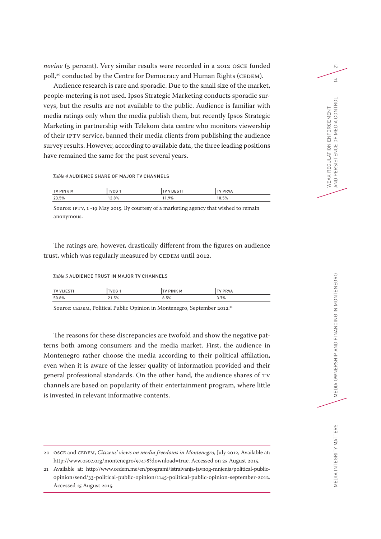*novine* (5 percent). Very similar results were recorded in a 2012 OSCE funded poll,<sup>20</sup> conducted by the Centre for Democracy and Human Rights (CEDEM).

Audience research is rare and sporadic. Due to the small size of the market, people-metering is not used. Ipsos Strategic Marketing conducts sporadic surveys, but the results are not available to the public. Audience is familiar with media ratings only when the media publish them, but recently Ipsos Strategic Marketing in partnership with Telekom data centre who monitors viewership of their IPTV service, banned their media clients from publishing the audience survey results. However, according to available data, the three leading positions have remained the same for the past several years.

*Table 4* AUDIENCE SHARE OF MAJOR TV CHANNELS

| <b>TV PINK M</b> | ur c  |      | <b>PRVA</b> |
|------------------|-------|------|-------------|
| 23.5%            | 12.8% | 1.9% | 10.5%       |

Source: IPTV, 1 -19 May 2015. By courtesy of a marketing agency that wished to remain anonymous.

The ratings are, however, drastically different from the figures on audience trust, which was regularly measured by CEDEM until 2012.

#### *Table 5* AUDIENCE TRUST IN MAJOR TV CHANNELS

| <b>TV VI</b> | . VCG 1 | <b>PINK M</b> | <b>PRVA</b> |
|--------------|---------|---------------|-------------|
| 50.8%        | .5%     | 8.5%          | 3.7%        |

Source: CEDEM, Political Public Opinion in Montenegro, September 2012.<sup>21</sup>

The reasons for these discrepancies are twofold and show the negative patterns both among consumers and the media market. First, the audience in Montenegro rather choose the media according to their political affiliation, even when it is aware of the lesser quality of information provided and their general professional standards. On the other hand, the audience shares of TV channels are based on popularity of their entertainment program, where little is invested in relevant informative contents.

<sup>20</sup> OSCE and CEDEM, *Citizens' views on media freedoms in Montenegro*, July 2012, Available at: http://www.osce.org/montenegro/97478?download=true. Accessed on 25 August 2015.

<sup>21</sup> Available at: http://www.cedem.me/en/programi/istraivanja-javnog-mnjenja/political-publicopinion/send/33-political-public-opinion/1145-political-public-opinion-september-2012. Accessed 15 August 2015.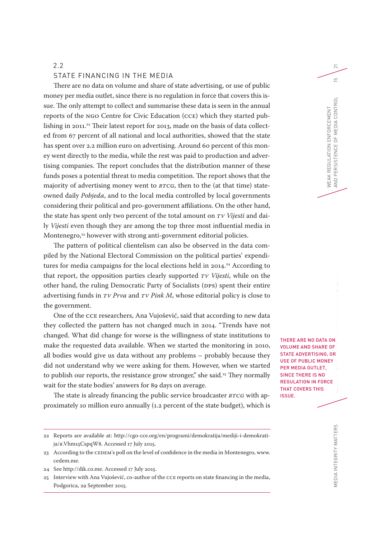#### 2.2

#### STATE FINANCING IN THE MEDIA

There are no data on volume and share of state advertising, or use of public money per media outlet, since there is no regulation in force that covers this issue. The only attempt to collect and summarise these data is seen in the annual reports of the NGO Centre for Civic Education (CCE) which they started publishing in 2011.<sup>22</sup> Their latest report for 2013, made on the basis of data collected from 67 percent of all national and local authorities, showed that the state has spent over 2.2 million euro on advertising. Around 60 percent of this money went directly to the media, while the rest was paid to production and advertising companies. The report concludes that the distribution manner of these funds poses a potential threat to media competition. The report shows that the majority of advertising money went to *RTCG*, then to the (at that time) stateowned daily *Pobjeda*, and to the local media controlled by local governments considering their political and pro-government affiliations. On the other hand, the state has spent only two percent of the total amount on *TV Vijesti* and daily *Vijesti* even though they are among the top three most influential media in Montenegro,<sup>23</sup> however with strong anti-government editorial policies.

The pattern of political clientelism can also be observed in the data compiled by the National Electoral Commission on the political parties' expenditures for media campaigns for the local elections held in 2014.<sup>24</sup> According to that report, the opposition parties clearly supported *TV Vijesti*, while on the other hand, the ruling Democratic Party of Socialists (DPS) spent their entire advertising funds in *TV Prva* and *TV Pink M*, whose editorial policy is close to the government.

One of the CCE researchers, Ana Vujošević, said that according to new data they collected the pattern has not changed much in 2014. "Trends have not changed. What did change for worse is the willingness of state institutions to make the requested data available. When we started the monitoring in 2010, all bodies would give us data without any problems – probably because they did not understand why we were asking for them. However, when we started to publish our reports, the resistance grow stronger," she said.<sup>25</sup> They normally wait for the state bodies' answers for 89 days on average.

The state is already financing the public service broadcaster *RTCG* with approximately 10 million euro annually (1.2 percent of the state budget), which is

24 See http://dik.co.me. Accessed 17 July 2015.

MEDIA INTEGRITY MATTERS  $\blacksquare$ THERE ARE NO DATA ON VOLUME AND SHARE OF STATE ADVERTISING, OR USE OF PUBLIC MONEY PER MEDIA OUTLET, SINCE THERE IS NO REGULATION IN FORCE THAT COVERS THIS ISSUE.

WEAK REGULATION ENFORCEMENT

AND PERSISTENCE OF MEDIA CONTROL 15

AND PERSISTENCE OF MEDIA CONTROL *NEAK REGULATION ENFORCEMENT* 

 $\overline{\sim}$ 

 $\overline{L}$ 

<sup>22</sup> Reports are available at: http://cgo-cce.org/en/programi/demokratija/mediji-i-demokratija/#.Vhm15CspqW8. Accessed 17 July 2015.

<sup>23</sup> According to the CEDEM's poll on the level of confidence in the media in Montenegro, www. cedem.me.

<sup>25</sup> Interview with Ana Vujošević, co-author of the CCE reports on state financing in the media, Podgorica, 29 September 2015.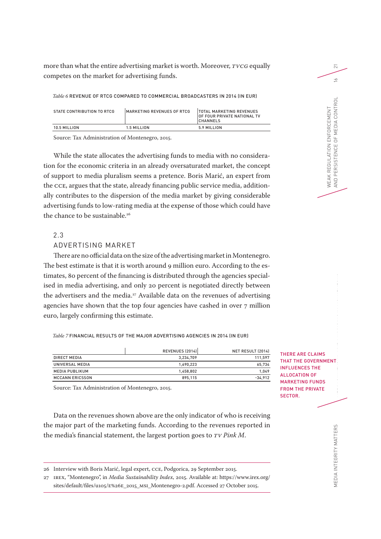more than what the entire advertising market is worth. Moreover, *TVCG* equally competes on the market for advertising funds.

*Table 6* REVENUE OF RTCG COMPARED TO COMMERCIAL BROADCASTERS IN 2014 (IN EUR)

| STATE CONTRIBUTION TO RTCG | IMARKETING REVENUES OF RTCG | <b>ITOTAL MARKETING REVENUES</b><br><b>OF FOUR PRIVATE NATIONAL TV</b><br><b>ICHANNELS</b> |
|----------------------------|-----------------------------|--------------------------------------------------------------------------------------------|
| 10.5 MILLION               | 1.5 MILLION                 | 5.9 MILION                                                                                 |

Source: Tax Administration of Montenegro, 2015.

While the state allocates the advertising funds to media with no consideration for the economic criteria in an already oversaturated market, the concept of support to media pluralism seems a pretence. Boris Marić, an expert from the CCE, argues that the state, already financing public service media, additionally contributes to the dispersion of the media market by giving considerable advertising funds to low-rating media at the expense of those which could have the chance to be sustainable.<sup>26</sup>

## 2.3

## ADVERTISING MARKET

There are no official data on the size of the advertising market in Montenegro. The best estimate is that it is worth around 9 million euro. According to the estimates, 80 percent of the financing is distributed through the agencies specialised in media advertising, and only 20 percent is negotiated directly between the advertisers and the media.<sup>27</sup> Available data on the revenues of advertising agencies have shown that the top four agencies have cashed in over 7 million euro, largely confirming this estimate.

*Table 7* FINANCIAL RESULTS OF THE MAJOR ADVERTISING AGENCIES IN 2014 (IN EUR)

|                        | <b>REVENUES (2014)</b> | NET RESULT (2014) |
|------------------------|------------------------|-------------------|
| DIRECT MEDIA           | 3,234,709              | 111.597           |
| UNIVERSAL MEDIA        | 1.690.223              | 65.734            |
| <b>MEDIA PUBLIKUM</b>  | 1,458,802              | 1,049             |
| <b>MCCANN ERICSSON</b> | 895.115                | $-34,912$         |

Source: Tax Administration of Montenegro, 2015.

Data on the revenues shown above are the only indicator of who is receiving the major part of the marketing funds. According to the revenues reported in the media's financial statement, the largest portion goes to *TV Pink M*.

THERE ARE CLAIMS THAT THE GOVERNMENT INFLUENCES THE ALLOCATION OF MARKETING FUNDS FROM THE PRIVATE SECTOR.

WEAK REGULATION ENFORCEMENT

WEAK REGULATION ENFORCEMENT<br>AND PERSISTENCE OF MEDIA CONTROL

AND PERSISTENCE OF MEDIA CONTROL 16

 $\overline{\sim}$ 

 $\leq$ 

MEDIA INTEGRITY MATTERS $\blacksquare$ MEDIA INTEGRITY MATTERS

<sup>26</sup> Interview with Boris Marić, legal expert, CCE, Podgorica, 29 September 2015.

<sup>27</sup> IREX, "Montenegro", in *Media Sustainability Index*, 2015. Available at: https://www.irex.org/ sites/default/files/u105/E%26E\_2015\_MSI\_Montenegro-2.pdf. Accessed 27 October 2015.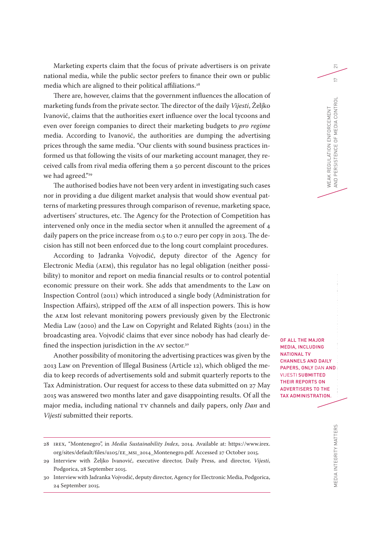Marketing experts claim that the focus of private advertisers is on private national media, while the public sector prefers to finance their own or public media which are aligned to their political affiliations.<sup>28</sup>

There are, however, claims that the government influences the allocation of marketing funds from the private sector. The director of the daily *Vijesti*, Željko Ivanović, claims that the authorities exert influence over the local tycoons and even over foreign companies to direct their marketing budgets to *pro regime* media. According to Ivanović, the authorities are dumping the advertising prices through the same media. "Our clients with sound business practices informed us that following the visits of our marketing account manager, they received calls from rival media offering them a 50 percent discount to the prices we had agreed."<sup>29</sup>

The authorised bodies have not been very ardent in investigating such cases nor in providing a due diligent market analysis that would show eventual patterns of marketing pressures through comparison of revenue, marketing space, advertisers' structures, etc. The Agency for the Protection of Competition has intervened only once in the media sector when it annulled the agreement of 4 daily papers on the price increase from 0.5 to 0.7 euro per copy in 2013. The decision has still not been enforced due to the long court complaint procedures.

According to Jadranka Vojvodić, deputy director of the Agency for Electronic Media (AEM), this regulator has no legal obligation (neither possibility) to monitor and report on media financial results or to control potential economic pressure on their work. She adds that amendments to the Law on Inspection Control (2011) which introduced a single body (Administration for Inspection Affairs), stripped off the AEM of all inspection powers. This is how the AEM lost relevant monitoring powers previously given by the Electronic Media Law (2010) and the Law on Copyright and Related Rights (2011) in the broadcasting area. Vojvodić claims that ever since nobody has had clearly defined the inspection jurisdiction in the AV sector.<sup>30</sup>

Another possibility of monitoring the advertising practices was given by the 2013 Law on Prevention of Illegal Business (Article 12), which obliged the media to keep records of advertisements sold and submit quarterly reports to the Tax Administration. Our request for access to these data submitted on 27 May 2015 was answered two months later and gave disappointing results. Of all the major media, including national TV channels and daily papers, only *Dan* and *Vijesti* submitted their reports.

OF ALL THE MAJOR MEDIA, INCLUDING NATIONAL TV CHANNELS AND DAILY PAPERS, ONLY DAN AND VIJESTI SUBMITTED THEIR REPORTS ON ADVERTISERS TO THE TAX ADMINISTRATION.

MEDIA INTEGRITY MATTERS

WEAK REGULATION ENFORCEMENT

*NEAK REGULATION ENFORCEMENT* 

 $\overline{\sim}$ 

 $\sim$ 

<sup>28</sup> IREX, "Montenegro", in *Media Sustainability Index*, 2014. Available at: https://www.irex. org/sites/default/files/u105/EE\_MSI\_2014\_Montenegro.pdf. Accessed 27 October 2015.

<sup>29</sup> Interview with Željko Ivanović, executive director, Daily Press, and director, *Vijesti*, Podgorica, 28 September 2015.

<sup>30</sup> Interview with Jadranka Vojvodić, deputy director, Agency for Electronic Media, Podgorica, 24 September 2015.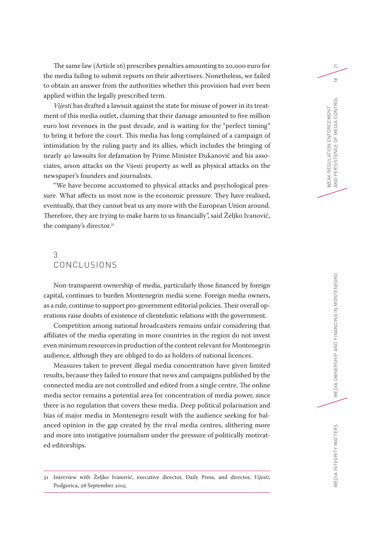The same law (Article 16) prescribes penalties amounting to 20,000 euro for the media failing to submit reports on their advertisers. Nonetheless, we failed to obtain an answer from the authorities whether this provision had ever been applied within the legally prescribed term.

*Vijesti* has drafted a lawsuit against the state for misuse of power in its treatment of this media outlet, claiming that their damage amounted to five million euro lost revenues in the past decade, and is waiting for the "perfect timing" to bring it before the court. This media has long complained of a campaign of intimidation by the ruling party and its allies, which includes the bringing of nearly 40 lawsuits for defamation by Prime Minister Đukanović and his associates, arson attacks on the Vijesti property as well as physical attacks on the newspaper's founders and journalists.

"We have become accustomed to physical attacks and psychological pressure. What affects us most now is the economic pressure. They have realised, eventually, that they cannot beat us any more with the European Union around. Therefore, they are trying to make harm to us financially", said Željko Ivanović, the company's director.31

# 3 CONCLUSIONS

Non-transparent ownership of media, particularly those financed by foreign capital, continues to burden Montenegrin media scene. Foreign media owners, as a rule, continue to support pro-government editorial policies. Their overall operations raise doubts of existence of clientelistic relations with the government.

Competition among national broadcasters remains unfair considering that affiliates of the media operating in more countries in the region do not invest even minimum resources in production of the content relevant for Montenegrin audience, although they are obliged to do as holders of national licences.

Measures taken to prevent illegal media concentration have given limited results, because they failed to ensure that news and campaigns published by the connected media are not controlled and edited from a single centre. The online media sector remains a potential area for concentration of media power, since there is no regulation that covers these media. Deep political polarisation and bias of major media in Montenegro result with the audience seeking for balanced opinion in the gap created by the rival media centres, slithering more and more into instigative journalism under the pressure of politically motivated editorships.

31 Interview with Željko Ivanović, executive director, Daily Press, and director, *Vijesti*, Podgorica, 28 September 2015.

WEAK REGULATION ENFORCEMENT

AND PERSISTENCE OF MEDIA CONTROL 18

AND PERSISTENCE OF MEDIA CONTROL *NEAK REGULATION ENFORCEMENT* 

 $\overline{\sim}$ 

 $\frac{\infty}{2}$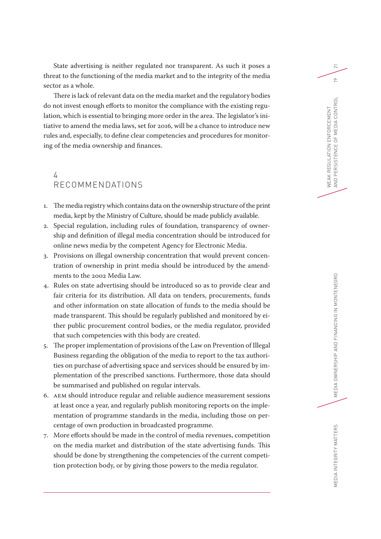State advertising is neither regulated nor transparent. As such it poses a threat to the functioning of the media market and to the integrity of the media sector as a whole.

There is lack of relevant data on the media market and the regulatory bodies do not invest enough efforts to monitor the compliance with the existing regulation, which is essential to bringing more order in the area. The legislator's initiative to amend the media laws, set for 2016, will be a chance to introduce new rules and, especially, to define clear competencies and procedures for monitoring of the media ownership and finances.

# 4 RECOMMENDATIONS

- 1. The media registry which contains data on the ownership structure of the print media, kept by the Ministry of Culture, should be made publicly available.
- 2. Special regulation, including rules of foundation, transparency of ownership and definition of illegal media concentration should be introduced for online news media by the competent Agency for Electronic Media.
- 3. Provisions on illegal ownership concentration that would prevent concentration of ownership in print media should be introduced by the amendments to the 2002 Media Law.
- 4. Rules on state advertising should be introduced so as to provide clear and fair criteria for its distribution. All data on tenders, procurements, funds and other information on state allocation of funds to the media should be made transparent. This should be regularly published and monitored by either public procurement control bodies, or the media regulator, provided that such competencies with this body are created.
- 5. The proper implementation of provisions of the Law on Prevention of Illegal Business regarding the obligation of the media to report to the tax authorities on purchase of advertising space and services should be ensured by implementation of the prescribed sanctions. Furthermore, those data should be summarised and published on regular intervals.
- 6. AEM should introduce regular and reliable audience measurement sessions at least once a year, and regularly publish monitoring reports on the implementation of programme standards in the media, including those on percentage of own production in broadcasted programme.
- 7. More efforts should be made in the control of media revenues, competition on the media market and distribution of the state advertising funds. This should be done by strengthening the competencies of the current competition protection body, or by giving those powers to the media regulator.

 $\overline{\sim}$ 

 $\subseteq$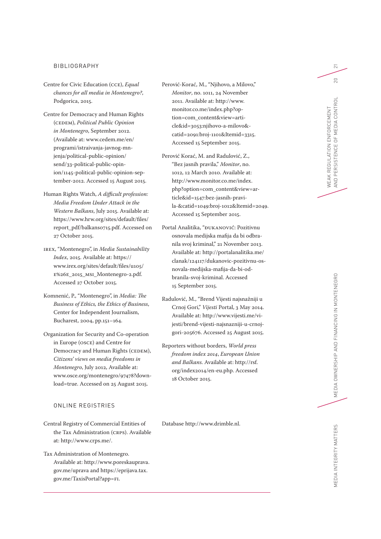#### BIBLIOGRAPHY

- Centre for Civic Education (CCE), *Equal chances for all media in Montenegro?*, Podgorica, 2015.
- Centre for Democracy and Human Rights (CEDEM), *Political Public Opinion in Montenegro*, September 2012. (Available at: www.cedem.me/en/ programi/istraivanja-javnog-mn jenja/political-public-opinion/ send/33-political-public-opin ion/1145-political-public-opinion-sep tember-2012. Accessed 15 August 2015.
- Human Rights Watch, *A difficult profession: Media Freedom Under Attack in the Western Balkans*, July 2015. Available at: https://www.hrw.org/sites/default/files/ report\_pdf/balkans0715.pdf. Accessed on 27 October 2015.
- IREX, "Montenegro", in *Media Sustainability Index*, 2015. Available at: https:// www.irex.org/sites/default/files/u105/ E%26E\_2015\_MSI\_Montenegro-2.pdf. Accessed 27 October 2015.
- Komnenić, P., "Montenegro", in *Media: The Business of Ethics, the Ethics of Business*, Center for Independent Journalism, Bucharest, 2004, pp.151–164.
- Organization for Security and Co-operation in Europe (OSCE) and Centre for Democracy and Human Rights (CEDEM), *Citizens' views on media freedoms in Montenegro*, July 2012, Available at: www.osce.org/montenegro/97478?down load=true. Accessed on 25 August 2015.

## ONLINE REGISTRIES

- Central Registry of Commercial Entities of the Tax Administration (CRPS). Available at: http://www.crps.me/.
- Tax Administration of Montenegro. Available at: http://www.poreskauprava. gov.me/uprava and https://eprijava.tax. gov.me/TaxisPortal?app=FI.
- Perović-Korać, M., "Njihovo, a Milovo," *Monitor*, no. 1011, 24 November 2011. Available at: http://www. monitor.co.me/index.php?op tion=com\_content&view=arti cle&id=3053:njihovo-a-milovo& catid=2091:broj-1101&Itemid=3315. Accessed 15 September 2015.
- Perović Korać, M. and Radulović, Z., "Bez jasnih pravila," *Monitor*, no. 1012, 12 March 2010. Available at: http://www.monitor.co.me/index. php?option=com\_content&view=ar ticle&id=1547:bez-jasnih-pravi la-&catid=1049:broj-1012&Itemid=2049. Accessed 15 September 2015.
- Portal Analitika, "ĐUKANOVIĆ: Pozitivnu osnovala medijska mafija da bi odbra nila svoj kriminal," 21 November 2013. Available at: http://portalanalitika.me/ clanak/124117/dukanovic-pozitivnu-os novala-medijska-mafija-da-bi-od branila-svoj-kriminal. Accessed 15 September 2015.
- Radulović, M., "Brend Vijesti najsnažniji u Crnoj Gori," *Vijesti* Portal, 3 May 2014. Available at: http://www.vijesti.me/vi jesti/brend-vijesti-najsnazniji-u-crnojgori-205676. Accessed 25 August 2015.
- Reporters without borders, *World press freedom index 2014*, *European Union and Balkans*. Available at: http://rsf. org/index2014/en-eu.php. Accessed 18 October 2015.

Database http://www.drimble.nl.

WEAK REGULATION ENFORCEMENT

 $\overline{\sim}$ 

20